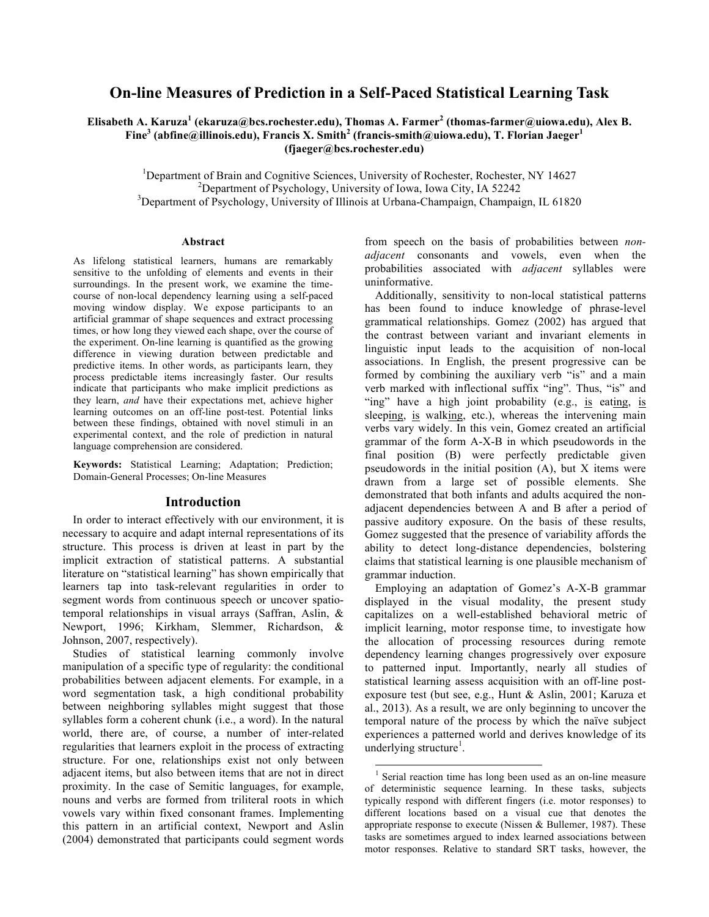# **On-line Measures of Prediction in a Self-Paced Statistical Learning Task**

**Elisabeth A. Karuza<sup>1</sup> (ekaruza@bcs.rochester.edu), Thomas A. Farmer<sup>2</sup> (thomas-farmer@uiowa.edu), Alex B. Fine<sup>3</sup> (abfine@illinois.edu), Francis X. Smith<sup>2</sup> (francis-smith@uiowa.edu), T. Florian Jaeger<sup>1</sup> (fjaeger@bcs.rochester.edu)**

<sup>1</sup>Department of Brain and Cognitive Sciences, University of Rochester, Rochester, NY 14627<br><sup>2</sup>Department of Brushelogy, University of Jawa Laws City, JA 52242  $\mu$ <sup>2</sup>Department of Psychology, University of Iowa, Iowa City, IA 52242 Department of Psychology, University of Illinois at Urbana-Champaign, Champaign, IL 61820

#### **Abstract**

As lifelong statistical learners, humans are remarkably sensitive to the unfolding of elements and events in their surroundings. In the present work, we examine the timecourse of non-local dependency learning using a self-paced moving window display. We expose participants to an artificial grammar of shape sequences and extract processing times, or how long they viewed each shape, over the course of the experiment. On-line learning is quantified as the growing difference in viewing duration between predictable and predictive items. In other words, as participants learn, they process predictable items increasingly faster. Our results indicate that participants who make implicit predictions as they learn, *and* have their expectations met, achieve higher learning outcomes on an off-line post-test. Potential links between these findings, obtained with novel stimuli in an experimental context, and the role of prediction in natural language comprehension are considered.

**Keywords:** Statistical Learning; Adaptation; Prediction; Domain-General Processes; On-line Measures

# **Introduction**

In order to interact effectively with our environment, it is necessary to acquire and adapt internal representations of its structure. This process is driven at least in part by the implicit extraction of statistical patterns. A substantial literature on "statistical learning" has shown empirically that learners tap into task-relevant regularities in order to segment words from continuous speech or uncover spatiotemporal relationships in visual arrays (Saffran, Aslin, & Newport, 1996; Kirkham, Slemmer, Richardson, & Johnson, 2007, respectively).

Studies of statistical learning commonly involve manipulation of a specific type of regularity: the conditional probabilities between adjacent elements. For example, in a word segmentation task, a high conditional probability between neighboring syllables might suggest that those syllables form a coherent chunk (i.e., a word). In the natural world, there are, of course, a number of inter-related regularities that learners exploit in the process of extracting structure. For one, relationships exist not only between adjacent items, but also between items that are not in direct proximity. In the case of Semitic languages, for example, nouns and verbs are formed from triliteral roots in which vowels vary within fixed consonant frames. Implementing this pattern in an artificial context, Newport and Aslin (2004) demonstrated that participants could segment words

from speech on the basis of probabilities between *nonadjacent* consonants and vowels, even when the probabilities associated with *adjacent* syllables were uninformative.

Additionally, sensitivity to non-local statistical patterns has been found to induce knowledge of phrase-level grammatical relationships. Gomez (2002) has argued that the contrast between variant and invariant elements in linguistic input leads to the acquisition of non-local associations. In English, the present progressive can be formed by combining the auxiliary verb "is" and a main verb marked with inflectional suffix "ing". Thus, "is" and "ing" have a high joint probability (e.g., is eating, is sleeping, is walking, etc.), whereas the intervening main verbs vary widely. In this vein, Gomez created an artificial grammar of the form A-X-B in which pseudowords in the final position (B) were perfectly predictable given pseudowords in the initial position (A), but X items were drawn from a large set of possible elements. She demonstrated that both infants and adults acquired the nonadjacent dependencies between A and B after a period of passive auditory exposure. On the basis of these results, Gomez suggested that the presence of variability affords the ability to detect long-distance dependencies, bolstering claims that statistical learning is one plausible mechanism of grammar induction.

Employing an adaptation of Gomez's A-X-B grammar displayed in the visual modality, the present study capitalizes on a well-established behavioral metric of implicit learning, motor response time, to investigate how the allocation of processing resources during remote dependency learning changes progressively over exposure to patterned input. Importantly, nearly all studies of statistical learning assess acquisition with an off-line postexposure test (but see, e.g., Hunt & Aslin, 2001; Karuza et al., 2013). As a result, we are only beginning to uncover the temporal nature of the process by which the naïve subject experiences a patterned world and derives knowledge of its underlying structure<sup>1</sup>.

Serial reaction time has long been used as an on-line measure of deterministic sequence learning. In these tasks, subjects typically respond with different fingers (i.e. motor responses) to different locations based on a visual cue that denotes the appropriate response to execute (Nissen & Bullemer, 1987). These tasks are sometimes argued to index learned associations between motor responses. Relative to standard SRT tasks, however, the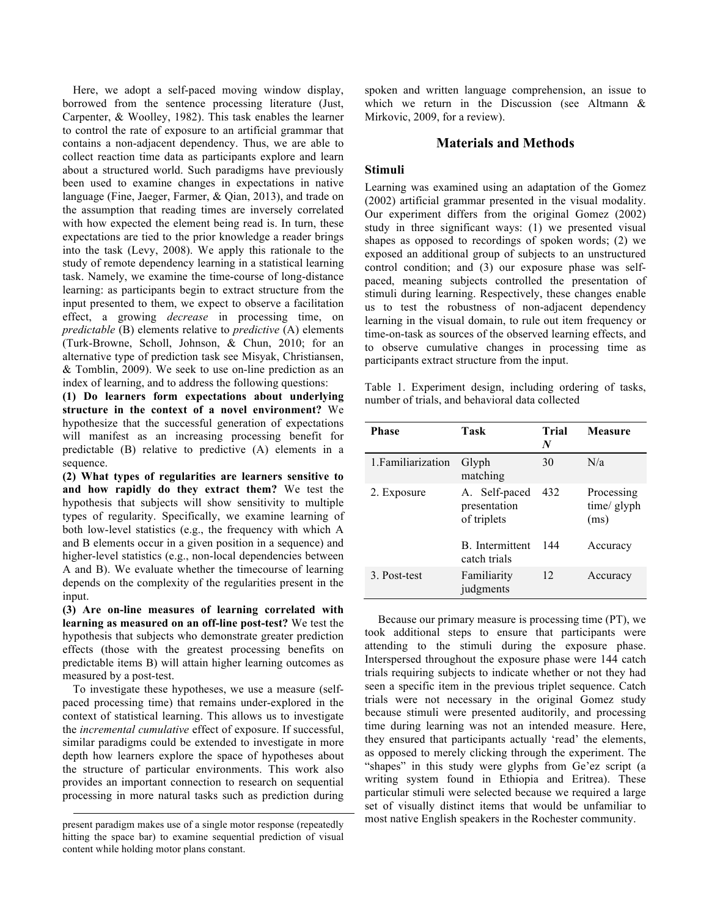Here, we adopt a self-paced moving window display, borrowed from the sentence processing literature (Just, Carpenter, & Woolley, 1982). This task enables the learner to control the rate of exposure to an artificial grammar that contains a non-adjacent dependency. Thus, we are able to collect reaction time data as participants explore and learn about a structured world. Such paradigms have previously been used to examine changes in expectations in native language (Fine, Jaeger, Farmer, & Qian, 2013), and trade on the assumption that reading times are inversely correlated with how expected the element being read is. In turn, these expectations are tied to the prior knowledge a reader brings into the task (Levy, 2008). We apply this rationale to the study of remote dependency learning in a statistical learning task. Namely, we examine the time-course of long-distance learning: as participants begin to extract structure from the input presented to them, we expect to observe a facilitation effect, a growing *decrease* in processing time, on *predictable* (B) elements relative to *predictive* (A) elements (Turk-Browne, Scholl, Johnson, & Chun, 2010; for an alternative type of prediction task see Misyak, Christiansen, & Tomblin, 2009). We seek to use on-line prediction as an index of learning, and to address the following questions:

**(1) Do learners form expectations about underlying structure in the context of a novel environment?** We hypothesize that the successful generation of expectations will manifest as an increasing processing benefit for predictable (B) relative to predictive (A) elements in a sequence.

**(2) What types of regularities are learners sensitive to and how rapidly do they extract them?** We test the hypothesis that subjects will show sensitivity to multiple types of regularity. Specifically, we examine learning of both low-level statistics (e.g., the frequency with which A and B elements occur in a given position in a sequence) and higher-level statistics (e.g., non-local dependencies between A and B). We evaluate whether the timecourse of learning depends on the complexity of the regularities present in the input.

**(3) Are on-line measures of learning correlated with learning as measured on an off-line post-test?** We test the hypothesis that subjects who demonstrate greater prediction effects (those with the greatest processing benefits on predictable items B) will attain higher learning outcomes as measured by a post-test.

To investigate these hypotheses, we use a measure (selfpaced processing time) that remains under-explored in the context of statistical learning. This allows us to investigate the *incremental cumulative* effect of exposure. If successful, similar paradigms could be extended to investigate in more depth how learners explore the space of hypotheses about the structure of particular environments. This work also provides an important connection to research on sequential processing in more natural tasks such as prediction during

present paradigm makes use of a single motor response (repeatedly hitting the space bar) to examine sequential prediction of visual content while holding motor plans constant.

 $\overline{\phantom{a}}$ 

spoken and written language comprehension, an issue to which we return in the Discussion (see Altmann & Mirkovic, 2009, for a review).

# **Materials and Methods**

# **Stimuli**

Learning was examined using an adaptation of the Gomez (2002) artificial grammar presented in the visual modality. Our experiment differs from the original Gomez (2002) study in three significant ways: (1) we presented visual shapes as opposed to recordings of spoken words; (2) we exposed an additional group of subjects to an unstructured control condition; and (3) our exposure phase was selfpaced, meaning subjects controlled the presentation of stimuli during learning. Respectively, these changes enable us to test the robustness of non-adjacent dependency learning in the visual domain, to rule out item frequency or time-on-task as sources of the observed learning effects, and to observe cumulative changes in processing time as participants extract structure from the input.

Table 1. Experiment design, including ordering of tasks, number of trials, and behavioral data collected

| <b>Phase</b>       | Task                                         | Trial<br>N | <b>Measure</b>                    |
|--------------------|----------------------------------------------|------------|-----------------------------------|
| 1. Familiarization | Glyph<br>matching                            | 30         | N/a                               |
| 2. Exposure        | A. Self-paced<br>presentation<br>of triplets | 432        | Processing<br>time/ glyph<br>(ms) |
|                    | <b>B.</b> Intermittent<br>catch trials       | 144        | Accuracy                          |
| 3. Post-test       | Familiarity<br>judgments                     | 12         | Accuracy                          |

Because our primary measure is processing time (PT), we took additional steps to ensure that participants were attending to the stimuli during the exposure phase. Interspersed throughout the exposure phase were 144 catch trials requiring subjects to indicate whether or not they had seen a specific item in the previous triplet sequence. Catch trials were not necessary in the original Gomez study because stimuli were presented auditorily, and processing time during learning was not an intended measure. Here, they ensured that participants actually 'read' the elements, as opposed to merely clicking through the experiment. The "shapes" in this study were glyphs from Ge'ez script (a writing system found in Ethiopia and Eritrea). These particular stimuli were selected because we required a large set of visually distinct items that would be unfamiliar to most native English speakers in the Rochester community.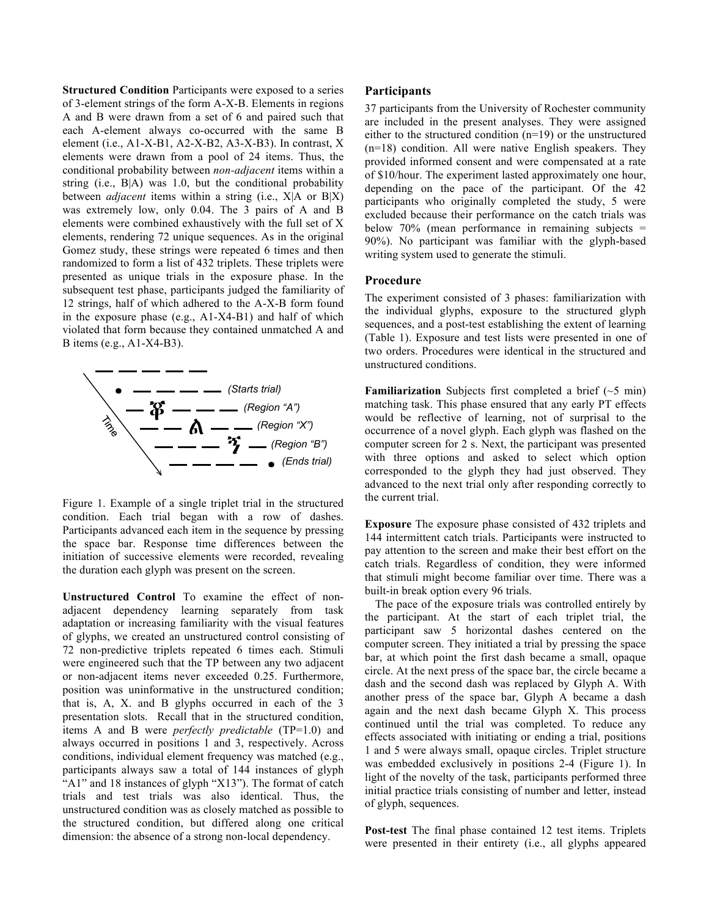**Structured Condition** Participants were exposed to a series of 3-element strings of the form A-X-B. Elements in regions A and B were drawn from a set of 6 and paired such that each A-element always co-occurred with the same B element (i.e., A1-X-B1, A2-X-B2, A3-X-B3). In contrast, X elements were drawn from a pool of 24 items. Thus, the conditional probability between *non-adjacent* items within a string (i.e., B|A) was 1.0, but the conditional probability between *adjacent* items within a string (i.e., X|A or B|X) was extremely low, only 0.04. The 3 pairs of A and B elements were combined exhaustively with the full set of X elements, rendering 72 unique sequences. As in the original Gomez study, these strings were repeated 6 times and then randomized to form a list of 432 triplets. These triplets were presented as unique trials in the exposure phase. In the subsequent test phase, participants judged the familiarity of 12 strings, half of which adhered to the A-X-B form found in the exposure phase (e.g., A1-X4-B1) and half of which violated that form because they contained unmatched A and B items (e.g., A1-X4-B3).



Figure 1. Example of a single triplet trial in the structured condition. Each trial began with a row of dashes. Participants advanced each item in the sequence by pressing the space bar. Response time differences between the initiation of successive elements were recorded, revealing the duration each glyph was present on the screen.

**Unstructured Control** To examine the effect of nonadjacent dependency learning separately from task adaptation or increasing familiarity with the visual features of glyphs, we created an unstructured control consisting of 72 non-predictive triplets repeated 6 times each. Stimuli were engineered such that the TP between any two adjacent or non-adjacent items never exceeded 0.25. Furthermore, position was uninformative in the unstructured condition; that is, A, X. and B glyphs occurred in each of the 3 presentation slots. Recall that in the structured condition, items A and B were *perfectly predictable* (TP=1.0) and always occurred in positions 1 and 3, respectively. Across conditions, individual element frequency was matched (e.g., participants always saw a total of 144 instances of glyph "A1" and 18 instances of glyph "X13"). The format of catch trials and test trials was also identical. Thus, the unstructured condition was as closely matched as possible to the structured condition, but differed along one critical dimension: the absence of a strong non-local dependency.

### **Participants**

37 participants from the University of Rochester community are included in the present analyses. They were assigned either to the structured condition (n=19) or the unstructured (n=18) condition. All were native English speakers. They provided informed consent and were compensated at a rate of \$10/hour. The experiment lasted approximately one hour, depending on the pace of the participant. Of the 42 participants who originally completed the study, 5 were excluded because their performance on the catch trials was below 70% (mean performance in remaining subjects = 90%). No participant was familiar with the glyph-based writing system used to generate the stimuli.

# **Procedure**

The experiment consisted of 3 phases: familiarization with the individual glyphs, exposure to the structured glyph sequences, and a post-test establishing the extent of learning (Table 1). Exposure and test lists were presented in one of two orders. Procedures were identical in the structured and unstructured conditions.

**Familiarization** Subjects first completed a brief (~5 min) matching task. This phase ensured that any early PT effects would be reflective of learning, not of surprisal to the occurrence of a novel glyph. Each glyph was flashed on the computer screen for 2 s. Next, the participant was presented with three options and asked to select which option corresponded to the glyph they had just observed. They advanced to the next trial only after responding correctly to the current trial.

**Exposure** The exposure phase consisted of 432 triplets and 144 intermittent catch trials. Participants were instructed to pay attention to the screen and make their best effort on the catch trials. Regardless of condition, they were informed that stimuli might become familiar over time. There was a built-in break option every 96 trials.

The pace of the exposure trials was controlled entirely by the participant. At the start of each triplet trial, the participant saw 5 horizontal dashes centered on the computer screen. They initiated a trial by pressing the space bar, at which point the first dash became a small, opaque circle. At the next press of the space bar, the circle became a dash and the second dash was replaced by Glyph A. With another press of the space bar, Glyph A became a dash again and the next dash became Glyph X. This process continued until the trial was completed. To reduce any effects associated with initiating or ending a trial, positions 1 and 5 were always small, opaque circles. Triplet structure was embedded exclusively in positions 2-4 (Figure 1). In light of the novelty of the task, participants performed three initial practice trials consisting of number and letter, instead of glyph, sequences.

**Post-test** The final phase contained 12 test items. Triplets were presented in their entirety (i.e., all glyphs appeared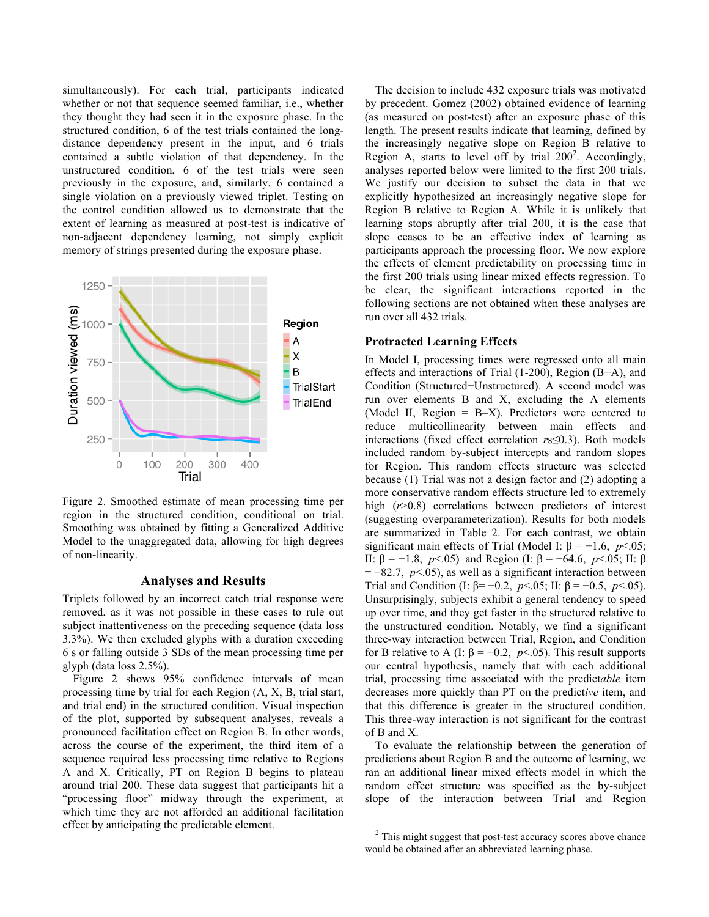simultaneously). For each trial, participants indicated whether or not that sequence seemed familiar, i.e., whether they thought they had seen it in the exposure phase. In the structured condition, 6 of the test trials contained the longdistance dependency present in the input, and 6 trials contained a subtle violation of that dependency. In the unstructured condition, 6 of the test trials were seen previously in the exposure, and, similarly, 6 contained a single violation on a previously viewed triplet. Testing on the control condition allowed us to demonstrate that the extent of learning as measured at post-test is indicative of non-adjacent dependency learning, not simply explicit memory of strings presented during the exposure phase.



Figure 2. Smoothed estimate of mean processing time per region in the structured condition, conditional on trial. Smoothing was obtained by fitting a Generalized Additive Model to the unaggregated data, allowing for high degrees of non-linearity.

#### **Analyses and Results**

Triplets followed by an incorrect catch trial response were removed, as it was not possible in these cases to rule out subject inattentiveness on the preceding sequence (data loss 3.3%). We then excluded glyphs with a duration exceeding 6 s or falling outside 3 SDs of the mean processing time per glyph (data loss 2.5%).

Figure 2 shows 95% confidence intervals of mean processing time by trial for each Region (A, X, B, trial start, and trial end) in the structured condition. Visual inspection of the plot, supported by subsequent analyses, reveals a pronounced facilitation effect on Region B. In other words, across the course of the experiment, the third item of a sequence required less processing time relative to Regions A and X. Critically, PT on Region B begins to plateau around trial 200. These data suggest that participants hit a "processing floor" midway through the experiment, at which time they are not afforded an additional facilitation effect by anticipating the predictable element.

The decision to include 432 exposure trials was motivated by precedent. Gomez (2002) obtained evidence of learning (as measured on post-test) after an exposure phase of this length. The present results indicate that learning, defined by the increasingly negative slope on Region B relative to Region A, starts to level off by trial  $200^2$ . Accordingly, analyses reported below were limited to the first 200 trials. We justify our decision to subset the data in that we explicitly hypothesized an increasingly negative slope for Region B relative to Region A. While it is unlikely that learning stops abruptly after trial 200, it is the case that slope ceases to be an effective index of learning as participants approach the processing floor. We now explore the effects of element predictability on processing time in the first 200 trials using linear mixed effects regression. To be clear, the significant interactions reported in the following sections are not obtained when these analyses are run over all 432 trials.

#### **Protracted Learning Effects**

In Model I, processing times were regressed onto all main effects and interactions of Trial (1-200), Region (B−A), and Condition (Structured−Unstructured). A second model was run over elements B and X, excluding the A elements (Model II, Region = B–X). Predictors were centered to reduce multicollinearity between main effects and interactions (fixed effect correlation *r*s≤0.3). Both models included random by-subject intercepts and random slopes for Region. This random effects structure was selected because (1) Trial was not a design factor and (2) adopting a more conservative random effects structure led to extremely high ( $r > 0.8$ ) correlations between predictors of interest (suggesting overparameterization). Results for both models are summarized in Table 2. For each contrast, we obtain significant main effects of Trial (Model I:  $\beta = -1.6$ ,  $p < .05$ ; II: β = −1.8, *p*<.05) and Region (I: β = −64.6, *p*<.05; II: β = −82.7, *p*<.05), as well as a significant interaction between Trial and Condition (I:  $\beta = -0.2$ ,  $p < .05$ ; II:  $\beta = -0.5$ ,  $p < .05$ ). Unsurprisingly, subjects exhibit a general tendency to speed up over time, and they get faster in the structured relative to the unstructured condition. Notably, we find a significant three-way interaction between Trial, Region, and Condition for B relative to A (I: β = −0.2, *p*<.05). This result supports our central hypothesis, namely that with each additional trial, processing time associated with the predict*able* item decreases more quickly than PT on the predict*ive* item, and that this difference is greater in the structured condition. This three-way interaction is not significant for the contrast of B and X.

To evaluate the relationship between the generation of predictions about Region B and the outcome of learning, we ran an additional linear mixed effects model in which the random effect structure was specified as the by-subject slope of the interaction between Trial and Region

<sup>&</sup>lt;sup>2</sup> This might suggest that post-test accuracy scores above chance would be obtained after an abbreviated learning phase.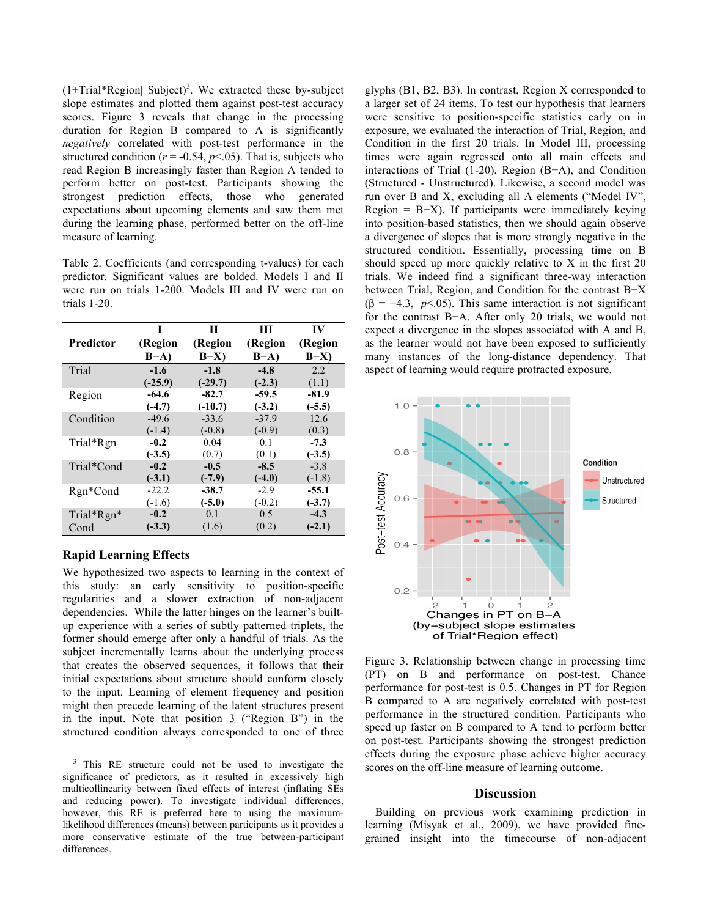$(1+Trial*Region]$  Subject)<sup>3</sup>. We extracted these by-subject slope estimates and plotted them against post-test accuracy scores. Figure 3 reveals that change in the processing duration for Region B compared to A is significantly *negatively* correlated with post-test performance in the structured condition ( $r = -0.54$ ,  $p < 0.05$ ). That is, subjects who read Region B increasingly faster than Region A tended to perform better on post-test. Participants showing the strongest prediction effects, those who generated expectations about upcoming elements and saw them met during the learning phase, performed better on the off-line measure of learning.

Table 2. Coefficients (and corresponding t-values) for each predictor. Significant values are bolded. Models I and II were run on trials 1-200. Models III and IV were run on trials 1-20.

|                  | T         | П         | Ш        | IV       |
|------------------|-----------|-----------|----------|----------|
| <b>Predictor</b> | (Region   | (Region   | (Region  | (Region  |
|                  | $B-A$     | $B-X$     | $B-A$    | $B-X$    |
| Trial            | $-1.6$    | $-1.8$    | $-4.8$   | 2.2      |
|                  | $(-25.9)$ | $(-29.7)$ | $(-2.3)$ | (1.1)    |
| Region           | $-64.6$   | $-82.7$   | $-59.5$  | $-81.9$  |
|                  | $(-4.7)$  | $(-10.7)$ | $(-3.2)$ | $(-5.5)$ |
| Condition        | $-49.6$   | $-33.6$   | $-37.9$  | 12.6     |
|                  | $(-1.4)$  | $(-0.8)$  | $(-0.9)$ | (0.3)    |
| Trial*Rgn        | $-0.2$    | 0.04      | 0.1      | $-7.3$   |
|                  | $(-3.5)$  | (0.7)     | (0.1)    | $(-3.5)$ |
| Trial*Cond       | $-0.2$    | $-0.5$    | $-8.5$   | $-3.8$   |
|                  | $(-3.1)$  | $(-7.9)$  | $(-4.0)$ | $(-1.8)$ |
| Rgn*Cond         | $-22.2$   | -38.7     | $-2.9$   | $-55.1$  |
|                  | $(-1.6)$  | $(-5.0)$  | $(-0.2)$ | $(-3.7)$ |
| Trial*Rgn*       | $-0.2$    | 0.1       | 0.5      | $-4.3$   |
| Cond             | $(-3.3)$  | (1.6)     | (0.2)    | $(-2.1)$ |

# **Rapid Learning Effects**

We hypothesized two aspects to learning in the context of this study: an early sensitivity to position-specific regularities and a slower extraction of non-adjacent dependencies. While the latter hinges on the learner's builtup experience with a series of subtly patterned triplets, the former should emerge after only a handful of trials. As the subject incrementally learns about the underlying process that creates the observed sequences, it follows that their initial expectations about structure should conform closely to the input. Learning of element frequency and position might then precede learning of the latent structures present in the input. Note that position 3 ("Region B") in the structured condition always corresponded to one of three

glyphs (B1, B2, B3). In contrast, Region X corresponded to a larger set of 24 items. To test our hypothesis that learners were sensitive to position-specific statistics early on in exposure, we evaluated the interaction of Trial, Region, and Condition in the first 20 trials. In Model III, processing times were again regressed onto all main effects and interactions of Trial (1-20), Region (B−A), and Condition (Structured - Unstructured). Likewise, a second model was run over B and X, excluding all A elements ("Model IV", Region = B−X). If participants were immediately keying into position-based statistics, then we should again observe a divergence of slopes that is more strongly negative in the structured condition. Essentially, processing time on B should speed up more quickly relative to X in the first 20 trials. We indeed find a significant three-way interaction between Trial, Region, and Condition for the contrast B−X ( $\beta$  = −4.3, *p*<.05). This same interaction is not significant for the contrast B−A. After only 20 trials, we would not expect a divergence in the slopes associated with A and B, as the learner would not have been exposed to sufficiently many instances of the long-distance dependency. That aspect of learning would require protracted exposure.



Figure 3. Relationship between change in processing time (PT) on B and performance on post-test. Chance performance for post-test is 0.5. Changes in PT for Region B compared to A are negatively correlated with post-test performance in the structured condition. Participants who speed up faster on B compared to A tend to perform better on post-test. Participants showing the strongest prediction effects during the exposure phase achieve higher accuracy scores on the off-line measure of learning outcome.

### **Discussion**

Building on previous work examining prediction in learning (Misyak et al., 2009), we have provided finegrained insight into the timecourse of non-adjacent

<sup>&</sup>lt;sup>3</sup> This RE structure could not be used to investigate the significance of predictors, as it resulted in excessively high multicollinearity between fixed effects of interest (inflating SEs and reducing power). To investigate individual differences, however, this RE is preferred here to using the maximumlikelihood differences (means) between participants as it provides a more conservative estimate of the true between-participant differences.